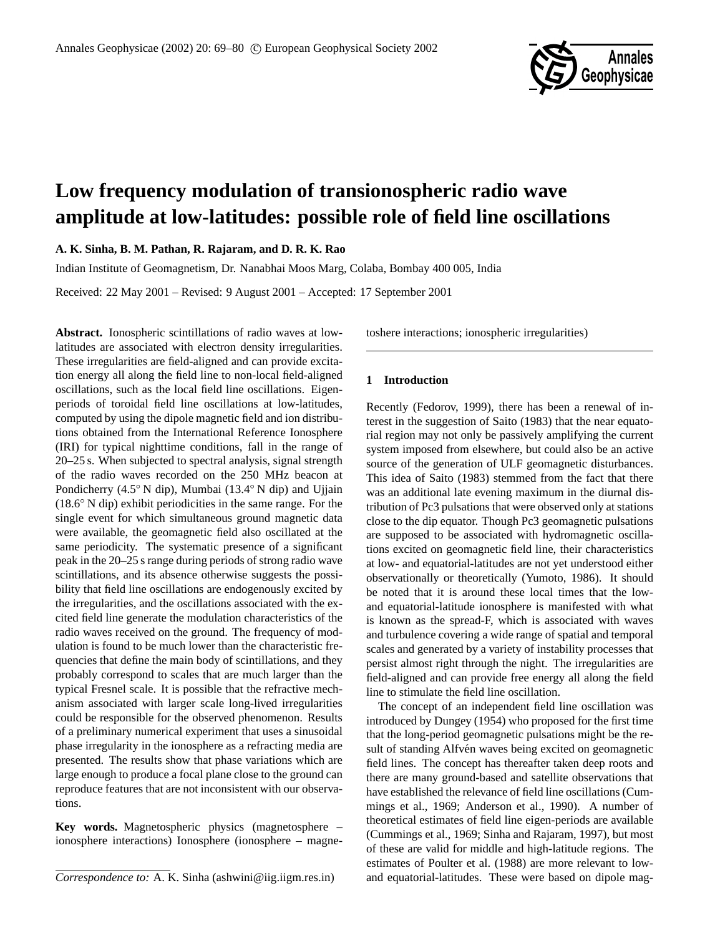

# **Low frequency modulation of transionospheric radio wave amplitude at low-latitudes: possible role of field line oscillations**

**A. K. Sinha, B. M. Pathan, R. Rajaram, and D. R. K. Rao**

Indian Institute of Geomagnetism, Dr. Nanabhai Moos Marg, Colaba, Bombay 400 005, India

Received: 22 May 2001 – Revised: 9 August 2001 – Accepted: 17 September 2001

**Abstract.** Ionospheric scintillations of radio waves at lowlatitudes are associated with electron density irregularities. These irregularities are field-aligned and can provide excitation energy all along the field line to non-local field-aligned oscillations, such as the local field line oscillations. Eigenperiods of toroidal field line oscillations at low-latitudes, computed by using the dipole magnetic field and ion distributions obtained from the International Reference Ionosphere (IRI) for typical nighttime conditions, fall in the range of 20–25 s. When subjected to spectral analysis, signal strength of the radio waves recorded on the 250 MHz beacon at Pondicherry (4.5◦ N dip), Mumbai (13.4◦ N dip) and Ujjain (18.6◦ N dip) exhibit periodicities in the same range. For the single event for which simultaneous ground magnetic data were available, the geomagnetic field also oscillated at the same periodicity. The systematic presence of a significant peak in the 20–25 s range during periods of strong radio wave scintillations, and its absence otherwise suggests the possibility that field line oscillations are endogenously excited by the irregularities, and the oscillations associated with the excited field line generate the modulation characteristics of the radio waves received on the ground. The frequency of modulation is found to be much lower than the characteristic frequencies that define the main body of scintillations, and they probably correspond to scales that are much larger than the typical Fresnel scale. It is possible that the refractive mechanism associated with larger scale long-lived irregularities could be responsible for the observed phenomenon. Results of a preliminary numerical experiment that uses a sinusoidal phase irregularity in the ionosphere as a refracting media are presented. The results show that phase variations which are large enough to produce a focal plane close to the ground can reproduce features that are not inconsistent with our observations.

**Key words.** Magnetospheric physics (magnetosphere – ionosphere interactions) Ionosphere (ionosphere – magnetoshere interactions; ionospheric irregularities)

## **1 Introduction**

Recently (Fedorov, 1999), there has been a renewal of interest in the suggestion of Saito (1983) that the near equatorial region may not only be passively amplifying the current system imposed from elsewhere, but could also be an active source of the generation of ULF geomagnetic disturbances. This idea of Saito (1983) stemmed from the fact that there was an additional late evening maximum in the diurnal distribution of Pc3 pulsations that were observed only at stations close to the dip equator. Though Pc3 geomagnetic pulsations are supposed to be associated with hydromagnetic oscillations excited on geomagnetic field line, their characteristics at low- and equatorial-latitudes are not yet understood either observationally or theoretically (Yumoto, 1986). It should be noted that it is around these local times that the lowand equatorial-latitude ionosphere is manifested with what is known as the spread-F, which is associated with waves and turbulence covering a wide range of spatial and temporal scales and generated by a variety of instability processes that persist almost right through the night. The irregularities are field-aligned and can provide free energy all along the field line to stimulate the field line oscillation.

The concept of an independent field line oscillation was introduced by Dungey (1954) who proposed for the first time that the long-period geomagnetic pulsations might be the result of standing Alfvén waves being excited on geomagnetic field lines. The concept has thereafter taken deep roots and there are many ground-based and satellite observations that have established the relevance of field line oscillations (Cummings et al., 1969; Anderson et al., 1990). A number of theoretical estimates of field line eigen-periods are available (Cummings et al., 1969; Sinha and Rajaram, 1997), but most of these are valid for middle and high-latitude regions. The estimates of Poulter et al. (1988) are more relevant to lowand equatorial-latitudes. These were based on dipole mag-

*Correspondence to:* A. K. Sinha (ashwini@iig.iigm.res.in)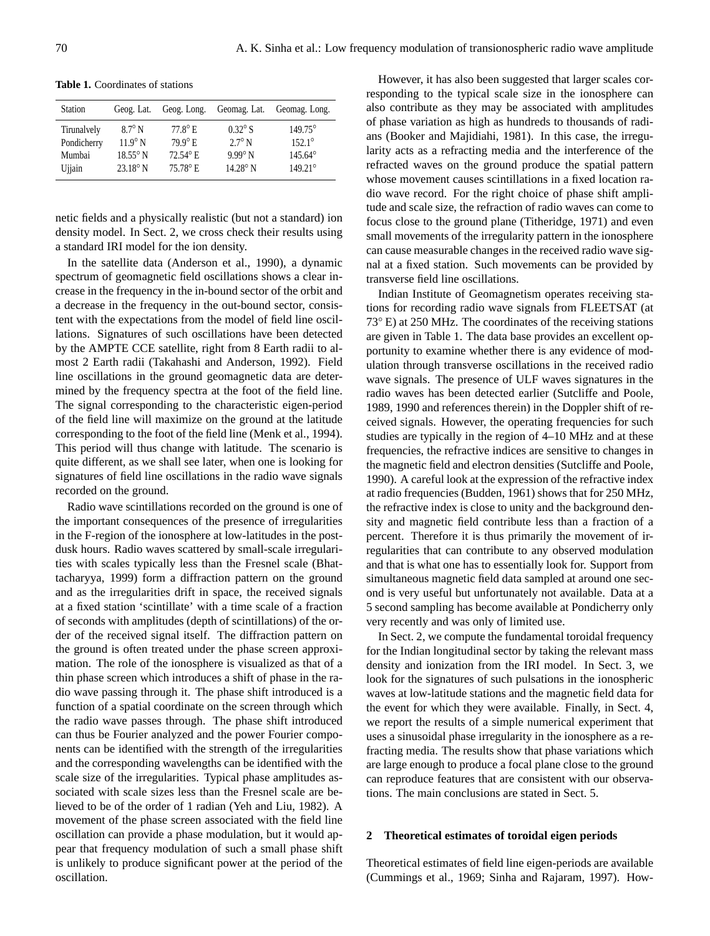| <b>Station</b> | Geog. Lat.        | Geog. Long.        | Geomag. Lat.      | Geomag. Long.    |
|----------------|-------------------|--------------------|-------------------|------------------|
| Tirunalvely    | $8.7^\circ$ N     | $77.8^\circ$ E.    | $0.32^\circ$ S    | $149.75^{\circ}$ |
| Pondicherry    | $11.9^\circ$ N    | $79.9^{\circ}$ E   | $2.7^\circ$ N     | $152.1^{\circ}$  |
| Mumbai         | $18.55^\circ$ N   | $72.54^{\circ}$ E. | $9.99^\circ$ N    | $145.64^{\circ}$ |
| Ujiain         | $23.18^{\circ}$ N | 75.78° E.          | $14.28^{\circ}$ N | $149.21^{\circ}$ |

netic fields and a physically realistic (but not a standard) ion density model. In Sect. 2, we cross check their results using a standard IRI model for the ion density.

In the satellite data (Anderson et al., 1990), a dynamic spectrum of geomagnetic field oscillations shows a clear increase in the frequency in the in-bound sector of the orbit and a decrease in the frequency in the out-bound sector, consistent with the expectations from the model of field line oscillations. Signatures of such oscillations have been detected by the AMPTE CCE satellite, right from 8 Earth radii to almost 2 Earth radii (Takahashi and Anderson, 1992). Field line oscillations in the ground geomagnetic data are determined by the frequency spectra at the foot of the field line. The signal corresponding to the characteristic eigen-period of the field line will maximize on the ground at the latitude corresponding to the foot of the field line (Menk et al., 1994). This period will thus change with latitude. The scenario is quite different, as we shall see later, when one is looking for signatures of field line oscillations in the radio wave signals recorded on the ground.

Radio wave scintillations recorded on the ground is one of the important consequences of the presence of irregularities in the F-region of the ionosphere at low-latitudes in the postdusk hours. Radio waves scattered by small-scale irregularities with scales typically less than the Fresnel scale (Bhattacharyya, 1999) form a diffraction pattern on the ground and as the irregularities drift in space, the received signals at a fixed station 'scintillate' with a time scale of a fraction of seconds with amplitudes (depth of scintillations) of the order of the received signal itself. The diffraction pattern on the ground is often treated under the phase screen approximation. The role of the ionosphere is visualized as that of a thin phase screen which introduces a shift of phase in the radio wave passing through it. The phase shift introduced is a function of a spatial coordinate on the screen through which the radio wave passes through. The phase shift introduced can thus be Fourier analyzed and the power Fourier components can be identified with the strength of the irregularities and the corresponding wavelengths can be identified with the scale size of the irregularities. Typical phase amplitudes associated with scale sizes less than the Fresnel scale are believed to be of the order of 1 radian (Yeh and Liu, 1982). A movement of the phase screen associated with the field line oscillation can provide a phase modulation, but it would appear that frequency modulation of such a small phase shift is unlikely to produce significant power at the period of the oscillation.

However, it has also been suggested that larger scales corresponding to the typical scale size in the ionosphere can also contribute as they may be associated with amplitudes of phase variation as high as hundreds to thousands of radians (Booker and Majidiahi, 1981). In this case, the irregularity acts as a refracting media and the interference of the refracted waves on the ground produce the spatial pattern whose movement causes scintillations in a fixed location radio wave record. For the right choice of phase shift amplitude and scale size, the refraction of radio waves can come to focus close to the ground plane (Titheridge, 1971) and even small movements of the irregularity pattern in the ionosphere can cause measurable changes in the received radio wave signal at a fixed station. Such movements can be provided by transverse field line oscillations.

Indian Institute of Geomagnetism operates receiving stations for recording radio wave signals from FLEETSAT (at 73◦ E) at 250 MHz. The coordinates of the receiving stations are given in Table 1. The data base provides an excellent opportunity to examine whether there is any evidence of modulation through transverse oscillations in the received radio wave signals. The presence of ULF waves signatures in the radio waves has been detected earlier (Sutcliffe and Poole, 1989, 1990 and references therein) in the Doppler shift of received signals. However, the operating frequencies for such studies are typically in the region of 4–10 MHz and at these frequencies, the refractive indices are sensitive to changes in the magnetic field and electron densities (Sutcliffe and Poole, 1990). A careful look at the expression of the refractive index at radio frequencies (Budden, 1961) shows that for 250 MHz, the refractive index is close to unity and the background density and magnetic field contribute less than a fraction of a percent. Therefore it is thus primarily the movement of irregularities that can contribute to any observed modulation and that is what one has to essentially look for. Support from simultaneous magnetic field data sampled at around one second is very useful but unfortunately not available. Data at a 5 second sampling has become available at Pondicherry only very recently and was only of limited use.

In Sect. 2, we compute the fundamental toroidal frequency for the Indian longitudinal sector by taking the relevant mass density and ionization from the IRI model. In Sect. 3, we look for the signatures of such pulsations in the ionospheric waves at low-latitude stations and the magnetic field data for the event for which they were available. Finally, in Sect. 4, we report the results of a simple numerical experiment that uses a sinusoidal phase irregularity in the ionosphere as a refracting media. The results show that phase variations which are large enough to produce a focal plane close to the ground can reproduce features that are consistent with our observations. The main conclusions are stated in Sect. 5.

#### **2 Theoretical estimates of toroidal eigen periods**

Theoretical estimates of field line eigen-periods are available (Cummings et al., 1969; Sinha and Rajaram, 1997). How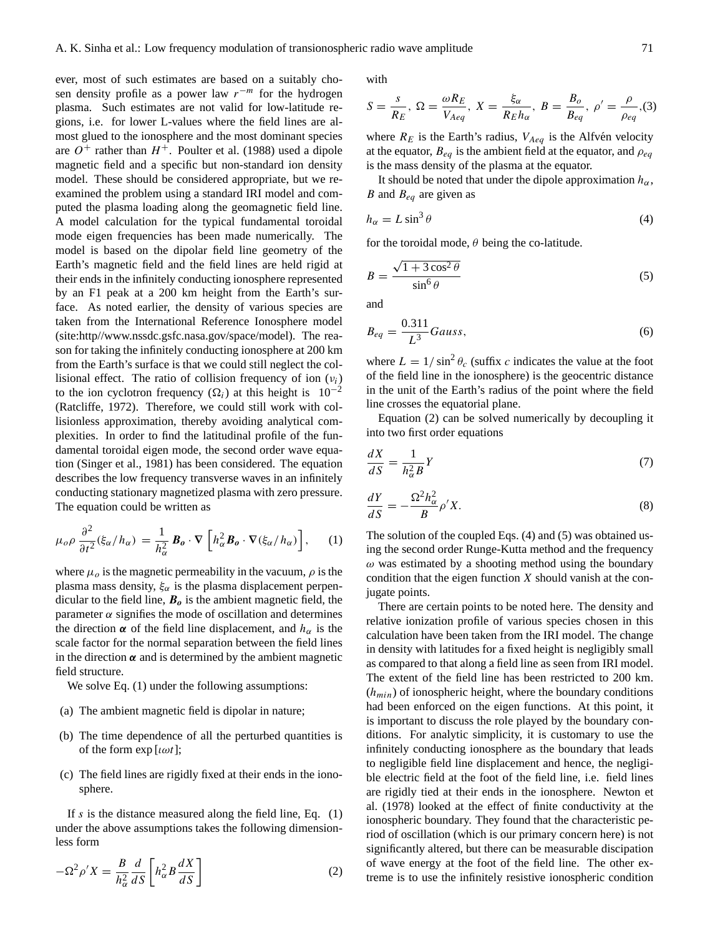ever, most of such estimates are based on a suitably chosen density profile as a power law  $r^{-m}$  for the hydrogen plasma. Such estimates are not valid for low-latitude regions, i.e. for lower L-values where the field lines are almost glued to the ionosphere and the most dominant species are  $O^+$  rather than  $H^+$ . Poulter et al. (1988) used a dipole magnetic field and a specific but non-standard ion density model. These should be considered appropriate, but we reexamined the problem using a standard IRI model and computed the plasma loading along the geomagnetic field line. A model calculation for the typical fundamental toroidal mode eigen frequencies has been made numerically. The model is based on the dipolar field line geometry of the Earth's magnetic field and the field lines are held rigid at their ends in the infinitely conducting ionosphere represented by an F1 peak at a 200 km height from the Earth's surface. As noted earlier, the density of various species are taken from the International Reference Ionosphere model (site:http//www.nssdc.gsfc.nasa.gov/space/model). The reason for taking the infinitely conducting ionosphere at 200 km from the Earth's surface is that we could still neglect the collisional effect. The ratio of collision frequency of ion  $(v_i)$ to the ion cyclotron frequency ( $\Omega_i$ ) at this height is 10<sup>-2</sup> (Ratcliffe, 1972). Therefore, we could still work with collisionless approximation, thereby avoiding analytical complexities. In order to find the latitudinal profile of the fundamental toroidal eigen mode, the second order wave equation (Singer et al., 1981) has been considered. The equation describes the low frequency transverse waves in an infinitely conducting stationary magnetized plasma with zero pressure. The equation could be written as

$$
\mu_o \rho \frac{\partial^2}{\partial t^2} (\xi_\alpha / h_\alpha) = \frac{1}{h_\alpha^2} \mathbf{B}_o \cdot \nabla \left[ h_\alpha^2 \mathbf{B}_o \cdot \nabla (\xi_\alpha / h_\alpha) \right], \qquad (1)
$$

where  $\mu_0$  is the magnetic permeability in the vacuum,  $\rho$  is the plasma mass density,  $\xi_{\alpha}$  is the plasma displacement perpendicular to the field line,  $B_0$  is the ambient magnetic field, the parameter  $\alpha$  signifies the mode of oscillation and determines the direction  $\alpha$  of the field line displacement, and  $h_{\alpha}$  is the scale factor for the normal separation between the field lines in the direction  $\alpha$  and is determined by the ambient magnetic field structure.

We solve Eq.  $(1)$  under the following assumptions:

- (a) The ambient magnetic field is dipolar in nature;
- (b) The time dependence of all the perturbed quantities is of the form  $\exp [\iota \omega t]$ ;
- (c) The field lines are rigidly fixed at their ends in the ionosphere.

If s is the distance measured along the field line, Eq.  $(1)$ under the above assumptions takes the following dimensionless form

$$
-\Omega^2 \rho' X = \frac{B}{h_\alpha^2} \frac{d}{dS} \left[ h_\alpha^2 B \frac{dX}{dS} \right]
$$
 (2)

with

$$
S = \frac{s}{R_E}, \ \Omega = \frac{\omega R_E}{V_{Aeq}}, \ X = \frac{\xi_{\alpha}}{R_E h_{\alpha}}, \ B = \frac{B_o}{B_{eq}}, \ \rho' = \frac{\rho}{\rho_{eq}}, (3)
$$

where  $R_E$  is the Earth's radius,  $V_{Aeq}$  is the Alfvén velocity at the equator,  $B_{eq}$  is the ambient field at the equator, and  $\rho_{eq}$ is the mass density of the plasma at the equator.

It should be noted that under the dipole approximation  $h_{\alpha}$ , B and  $B_{eq}$  are given as

$$
h_{\alpha} = L \sin^3 \theta \tag{4}
$$

for the toroidal mode,  $\theta$  being the co-latitude.

$$
B = \frac{\sqrt{1 + 3\cos^2\theta}}{\sin^6\theta} \tag{5}
$$

and

$$
B_{eq} = \frac{0.311}{L^3} Gauss,
$$
\n<sup>(6)</sup>

where  $L = 1/\sin^2 \theta_c$  (suffix c indicates the value at the foot of the field line in the ionosphere) is the geocentric distance in the unit of the Earth's radius of the point where the field line crosses the equatorial plane.

Equation (2) can be solved numerically by decoupling it into two first order equations

$$
\frac{dX}{dS} = \frac{1}{h_{\alpha}^2 B} Y \tag{7}
$$

$$
\frac{dY}{dS} = -\frac{\Omega^2 h_\alpha^2}{B} \rho' X. \tag{8}
$$

The solution of the coupled Eqs. (4) and (5) was obtained using the second order Runge-Kutta method and the frequency  $\omega$  was estimated by a shooting method using the boundary condition that the eigen function  $X$  should vanish at the conjugate points.

There are certain points to be noted here. The density and relative ionization profile of various species chosen in this calculation have been taken from the IRI model. The change in density with latitudes for a fixed height is negligibly small as compared to that along a field line as seen from IRI model. The extent of the field line has been restricted to 200 km.  $(h_{min})$  of ionospheric height, where the boundary conditions had been enforced on the eigen functions. At this point, it is important to discuss the role played by the boundary conditions. For analytic simplicity, it is customary to use the infinitely conducting ionosphere as the boundary that leads to negligible field line displacement and hence, the negligible electric field at the foot of the field line, i.e. field lines are rigidly tied at their ends in the ionosphere. Newton et al. (1978) looked at the effect of finite conductivity at the ionospheric boundary. They found that the characteristic period of oscillation (which is our primary concern here) is not significantly altered, but there can be measurable discipation of wave energy at the foot of the field line. The other extreme is to use the infinitely resistive ionospheric condition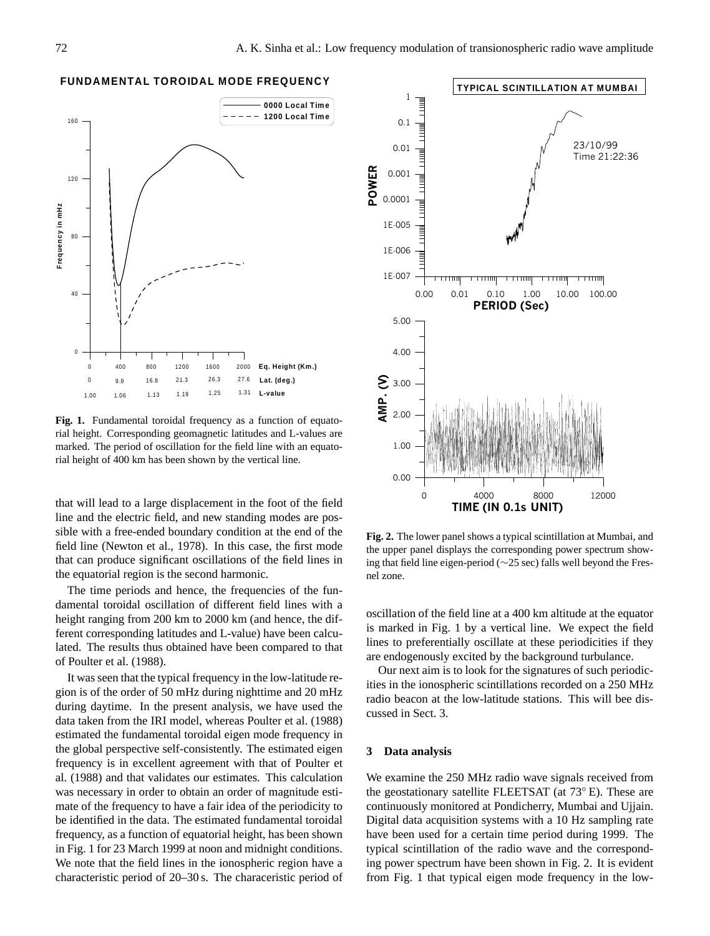## **FUNDAMENTAL TOROIDAL MODE FREQUENCY**



**Fig. 1.** Fundamental toroidal frequency as a function of equatorial height. Corresponding geomagnetic latitudes and L-values are marked. The period of oscillation for the field line with an equatorial height of 400 km has been shown by the vertical line.

that will lead to a large displacement in the foot of the field line and the electric field, and new standing modes are possible with a free-ended boundary condition at the end of the field line (Newton et al., 1978). In this case, the first mode that can produce significant oscillations of the field lines in the equatorial region is the second harmonic.

The time periods and hence, the frequencies of the fundamental toroidal oscillation of different field lines with a height ranging from 200 km to 2000 km (and hence, the different corresponding latitudes and L-value) have been calculated. The results thus obtained have been compared to that of Poulter et al. (1988).

It was seen that the typical frequency in the low-latitude region is of the order of 50 mHz during nighttime and 20 mHz during daytime. In the present analysis, we have used the data taken from the IRI model, whereas Poulter et al. (1988) estimated the fundamental toroidal eigen mode frequency in the global perspective self-consistently. The estimated eigen frequency is in excellent agreement with that of Poulter et al. (1988) and that validates our estimates. This calculation was necessary in order to obtain an order of magnitude estimate of the frequency to have a fair idea of the periodicity to be identified in the data. The estimated fundamental toroidal frequency, as a function of equatorial height, has been shown in Fig. 1 for 23 March 1999 at noon and midnight conditions. We note that the field lines in the ionospheric region have a characteristic period of 20–30 s. The characeristic period of



**Fig. 2.** The lower panel shows a typical scintillation at Mumbai, and the upper panel displays the corresponding power spectrum showing that field line eigen-period (∼25 sec) falls well beyond the Fresnel zone.

oscillation of the field line at a 400 km altitude at the equator is marked in Fig. 1 by a vertical line. We expect the field lines to preferentially oscillate at these periodicities if they are endogenously excited by the background turbulance.

Our next aim is to look for the signatures of such periodicities in the ionospheric scintillations recorded on a 250 MHz radio beacon at the low-latitude stations. This will bee discussed in Sect. 3.

## **3 Data analysis**

We examine the 250 MHz radio wave signals received from the geostationary satellite FLEETSAT (at 73◦ E). These are continuously monitored at Pondicherry, Mumbai and Ujjain. Digital data acquisition systems with a 10 Hz sampling rate have been used for a certain time period during 1999. The typical scintillation of the radio wave and the corresponding power spectrum have been shown in Fig. 2. It is evident from Fig. 1 that typical eigen mode frequency in the low-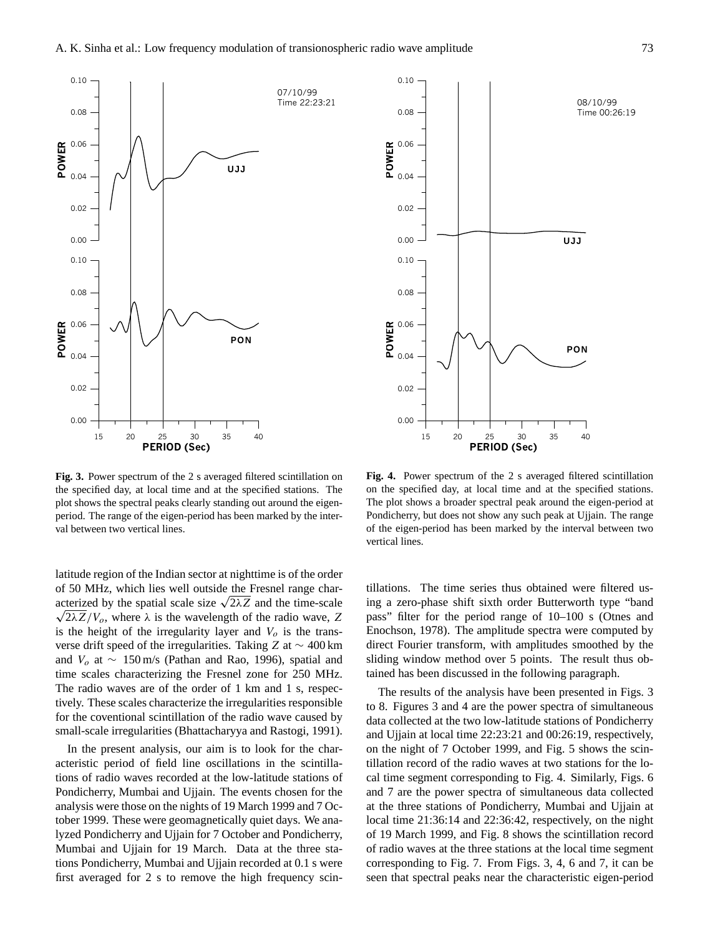

**Fig. 3.** Power spectrum of the 2 s averaged filtered scintillation on the specified day, at local time and at the specified stations. The plot shows the spectral peaks clearly standing out around the eigenperiod. The range of the eigen-period has been marked by the interval between two vertical lines.

latitude region of the Indian sector at nighttime is of the order of 50 MHz, which lies well outside the Fresnel range charof 50 MHz, which lies well outside the Fresnel range characterized by the spatial scale size  $\sqrt{2\lambda Z}$  and the time-scale  $\sqrt{2\lambda Z/V_o}$ , where  $\lambda$  is the wavelength of the radio wave, Z is the height of the irregularity layer and  $V<sub>o</sub>$  is the transverse drift speed of the irregularities. Taking Z at ∼ 400 km and  $V_0$  at ~ 150 m/s (Pathan and Rao, 1996), spatial and time scales characterizing the Fresnel zone for 250 MHz. The radio waves are of the order of 1 km and 1 s, respectively. These scales characterize the irregularities responsible for the coventional scintillation of the radio wave caused by small-scale irregularities (Bhattacharyya and Rastogi, 1991).

In the present analysis, our aim is to look for the characteristic period of field line oscillations in the scintillations of radio waves recorded at the low-latitude stations of Pondicherry, Mumbai and Ujjain. The events chosen for the analysis were those on the nights of 19 March 1999 and 7 October 1999. These were geomagnetically quiet days. We analyzed Pondicherry and Ujjain for 7 October and Pondicherry, Mumbai and Ujjain for 19 March. Data at the three stations Pondicherry, Mumbai and Ujjain recorded at 0.1 s were first averaged for 2 s to remove the high frequency scin-



**Fig. 4.** Power spectrum of the 2 s averaged filtered scintillation on the specified day, at local time and at the specified stations. The plot shows a broader spectral peak around the eigen-period at Pondicherry, but does not show any such peak at Ujjain. The range of the eigen-period has been marked by the interval between two vertical lines.

tillations. The time series thus obtained were filtered using a zero-phase shift sixth order Butterworth type "band pass" filter for the period range of 10–100 s (Otnes and Enochson, 1978). The amplitude spectra were computed by direct Fourier transform, with amplitudes smoothed by the sliding window method over 5 points. The result thus obtained has been discussed in the following paragraph.

The results of the analysis have been presented in Figs. 3 to 8. Figures 3 and 4 are the power spectra of simultaneous data collected at the two low-latitude stations of Pondicherry and Ujjain at local time 22:23:21 and 00:26:19, respectively, on the night of 7 October 1999, and Fig. 5 shows the scintillation record of the radio waves at two stations for the local time segment corresponding to Fig. 4. Similarly, Figs. 6 and 7 are the power spectra of simultaneous data collected at the three stations of Pondicherry, Mumbai and Ujjain at local time 21:36:14 and 22:36:42, respectively, on the night of 19 March 1999, and Fig. 8 shows the scintillation record of radio waves at the three stations at the local time segment corresponding to Fig. 7. From Figs. 3, 4, 6 and 7, it can be seen that spectral peaks near the characteristic eigen-period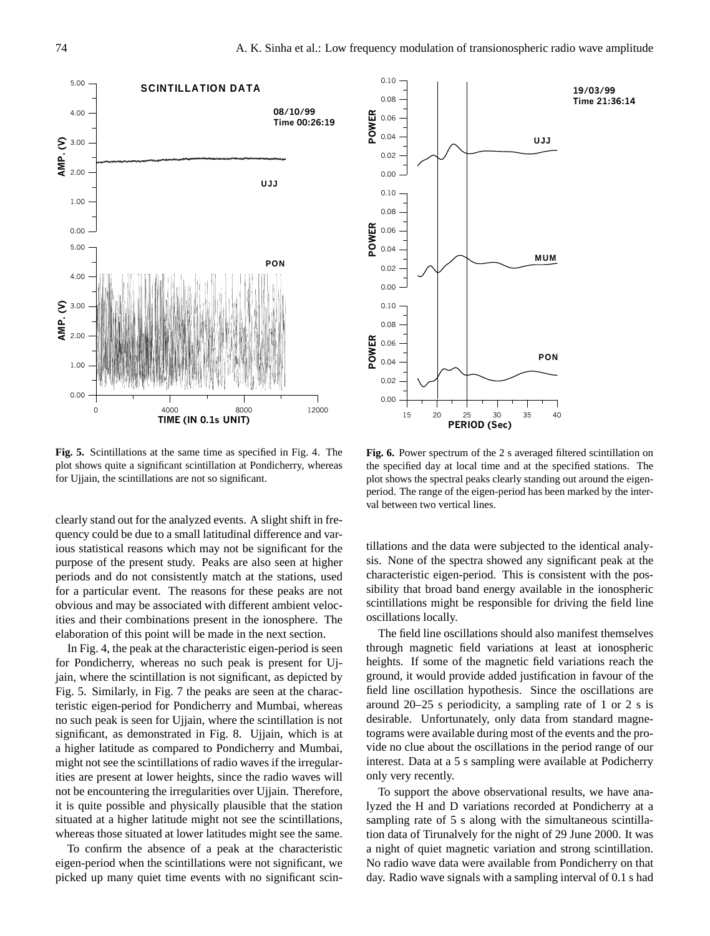

**Fig. 5.** Scintillations at the same time as specified in Fig. 4. The plot shows quite a significant scintillation at Pondicherry, whereas for Ujjain, the scintillations are not so significant.

clearly stand out for the analyzed events. A slight shift in frequency could be due to a small latitudinal difference and various statistical reasons which may not be significant for the purpose of the present study. Peaks are also seen at higher periods and do not consistently match at the stations, used for a particular event. The reasons for these peaks are not obvious and may be associated with different ambient velocities and their combinations present in the ionosphere. The elaboration of this point will be made in the next section.

In Fig. 4, the peak at the characteristic eigen-period is seen for Pondicherry, whereas no such peak is present for Ujjain, where the scintillation is not significant, as depicted by Fig. 5. Similarly, in Fig. 7 the peaks are seen at the characteristic eigen-period for Pondicherry and Mumbai, whereas no such peak is seen for Ujjain, where the scintillation is not significant, as demonstrated in Fig. 8. Ujjain, which is at a higher latitude as compared to Pondicherry and Mumbai, might not see the scintillations of radio waves if the irregularities are present at lower heights, since the radio waves will not be encountering the irregularities over Ujjain. Therefore, it is quite possible and physically plausible that the station situated at a higher latitude might not see the scintillations, whereas those situated at lower latitudes might see the same.

To confirm the absence of a peak at the characteristic eigen-period when the scintillations were not significant, we picked up many quiet time events with no significant scin-



**Fig. 6.** Power spectrum of the 2 s averaged filtered scintillation on the specified day at local time and at the specified stations. The plot shows the spectral peaks clearly standing out around the eigenperiod. The range of the eigen-period has been marked by the interval between two vertical lines.

tillations and the data were subjected to the identical analysis. None of the spectra showed any significant peak at the characteristic eigen-period. This is consistent with the possibility that broad band energy available in the ionospheric scintillations might be responsible for driving the field line oscillations locally.

The field line oscillations should also manifest themselves through magnetic field variations at least at ionospheric heights. If some of the magnetic field variations reach the ground, it would provide added justification in favour of the field line oscillation hypothesis. Since the oscillations are around 20–25 s periodicity, a sampling rate of 1 or 2 s is desirable. Unfortunately, only data from standard magnetograms were available during most of the events and the provide no clue about the oscillations in the period range of our interest. Data at a 5 s sampling were available at Podicherry only very recently.

To support the above observational results, we have analyzed the H and D variations recorded at Pondicherry at a sampling rate of 5 s along with the simultaneous scintillation data of Tirunalvely for the night of 29 June 2000. It was a night of quiet magnetic variation and strong scintillation. No radio wave data were available from Pondicherry on that day. Radio wave signals with a sampling interval of 0.1 s had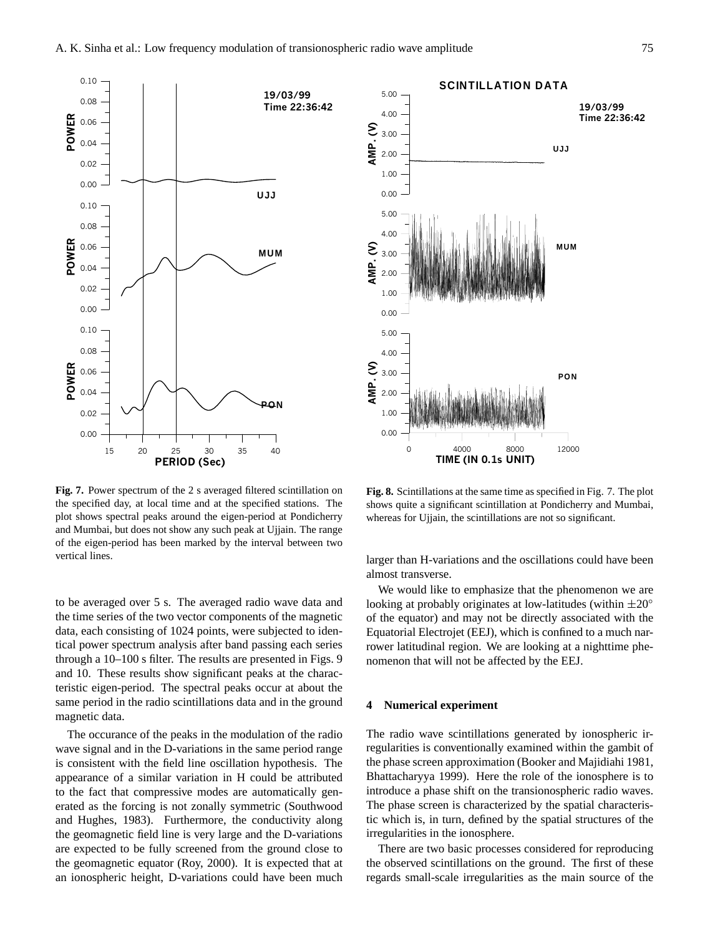

**Fig. 7.** Power spectrum of the 2 s averaged filtered scintillation on the specified day, at local time and at the specified stations. The plot shows spectral peaks around the eigen-period at Pondicherry and Mumbai, but does not show any such peak at Ujjain. The range of the eigen-period has been marked by the interval between two vertical lines.

to be averaged over 5 s. The averaged radio wave data and the time series of the two vector components of the magnetic data, each consisting of 1024 points, were subjected to identical power spectrum analysis after band passing each series through a 10–100 s filter. The results are presented in Figs. 9 and 10. These results show significant peaks at the characteristic eigen-period. The spectral peaks occur at about the same period in the radio scintillations data and in the ground magnetic data.

The occurance of the peaks in the modulation of the radio wave signal and in the D-variations in the same period range is consistent with the field line oscillation hypothesis. The appearance of a similar variation in H could be attributed to the fact that compressive modes are automatically generated as the forcing is not zonally symmetric (Southwood and Hughes, 1983). Furthermore, the conductivity along the geomagnetic field line is very large and the D-variations are expected to be fully screened from the ground close to the geomagnetic equator (Roy, 2000). It is expected that at an ionospheric height, D-variations could have been much



**Fig. 8.** Scintillations at the same time as specified in Fig. 7. The plot shows quite a significant scintillation at Pondicherry and Mumbai, whereas for Ujjain, the scintillations are not so significant.

larger than H-variations and the oscillations could have been almost transverse.

We would like to emphasize that the phenomenon we are looking at probably originates at low-latitudes (within  $\pm 20^\circ$ of the equator) and may not be directly associated with the Equatorial Electrojet (EEJ), which is confined to a much narrower latitudinal region. We are looking at a nighttime phenomenon that will not be affected by the EEJ.

## **4 Numerical experiment**

The radio wave scintillations generated by ionospheric irregularities is conventionally examined within the gambit of the phase screen approximation (Booker and Majidiahi 1981, Bhattacharyya 1999). Here the role of the ionosphere is to introduce a phase shift on the transionospheric radio waves. The phase screen is characterized by the spatial characteristic which is, in turn, defined by the spatial structures of the irregularities in the ionosphere.

There are two basic processes considered for reproducing the observed scintillations on the ground. The first of these regards small-scale irregularities as the main source of the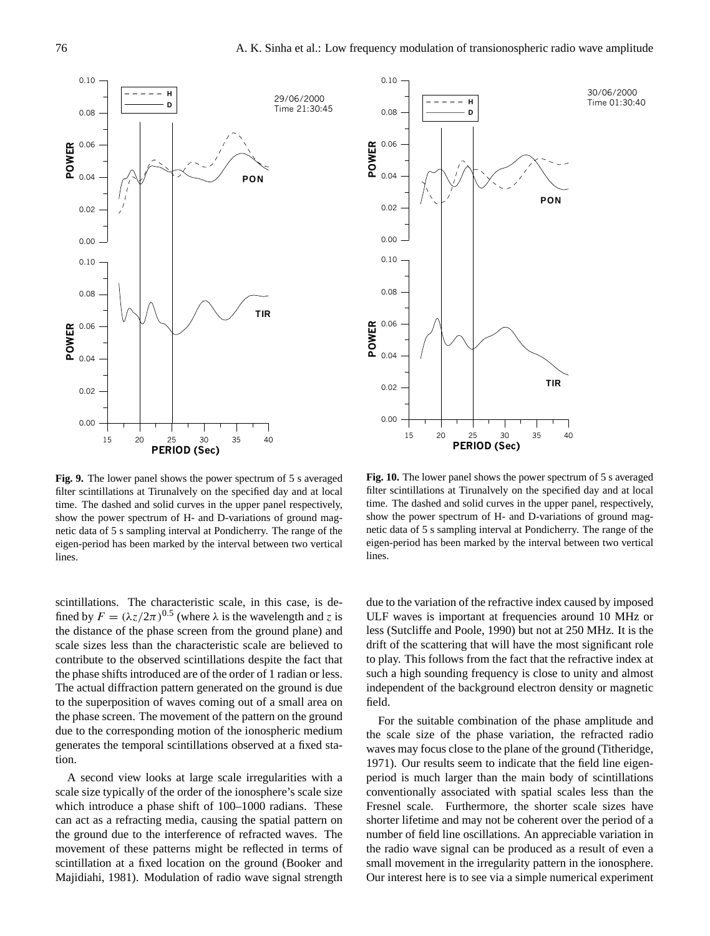

**Fig. 9.** The lower panel shows the power spectrum of 5 s averaged filter scintillations at Tirunalvely on the specified day and at local time. The dashed and solid curves in the upper panel respectively, show the power spectrum of H- and D-variations of ground magnetic data of 5 s sampling interval at Pondicherry. The range of the eigen-period has been marked by the interval between two vertical lines.

scintillations. The characteristic scale, in this case, is defined by  $F = (\lambda z/2\pi)^{0.5}$  (where  $\lambda$  is the wavelength and z is the distance of the phase screen from the ground plane) and scale sizes less than the characteristic scale are believed to contribute to the observed scintillations despite the fact that the phase shifts introduced are of the order of 1 radian or less. The actual diffraction pattern generated on the ground is due to the superposition of waves coming out of a small area on the phase screen. The movement of the pattern on the ground due to the corresponding motion of the ionospheric medium generates the temporal scintillations observed at a fixed station.

A second view looks at large scale irregularities with a scale size typically of the order of the ionosphere's scale size which introduce a phase shift of 100–1000 radians. These can act as a refracting media, causing the spatial pattern on the ground due to the interference of refracted waves. The movement of these patterns might be reflected in terms of scintillation at a fixed location on the ground (Booker and Majidiahi, 1981). Modulation of radio wave signal strength



**Fig. 10.** The lower panel shows the power spectrum of 5 s averaged filter scintillations at Tirunalvely on the specified day and at local time. The dashed and solid curves in the upper panel, respectively, show the power spectrum of H- and D-variations of ground magnetic data of 5 s sampling interval at Pondicherry. The range of the eigen-period has been marked by the interval between two vertical lines.

due to the variation of the refractive index caused by imposed ULF waves is important at frequencies around 10 MHz or less (Sutcliffe and Poole, 1990) but not at 250 MHz. It is the drift of the scattering that will have the most significant role to play. This follows from the fact that the refractive index at such a high sounding frequency is close to unity and almost independent of the background electron density or magnetic field.

For the suitable combination of the phase amplitude and the scale size of the phase variation, the refracted radio waves may focus close to the plane of the ground (Titheridge, 1971). Our results seem to indicate that the field line eigenperiod is much larger than the main body of scintillations conventionally associated with spatial scales less than the Fresnel scale. Furthermore, the shorter scale sizes have shorter lifetime and may not be coherent over the period of a number of field line oscillations. An appreciable variation in the radio wave signal can be produced as a result of even a small movement in the irregularity pattern in the ionosphere. Our interest here is to see via a simple numerical experiment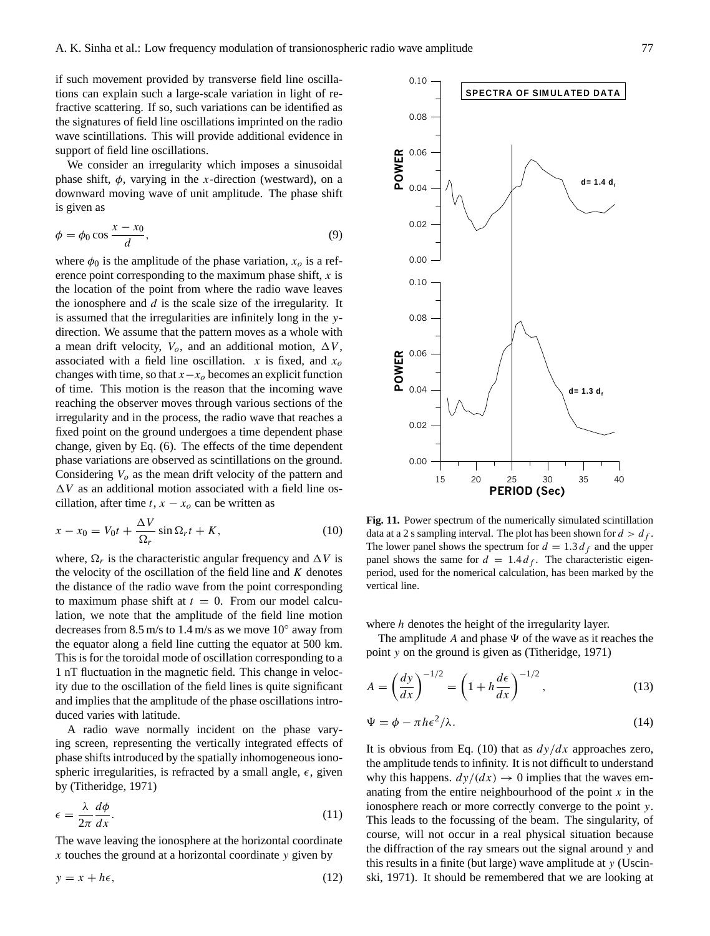if such movement provided by transverse field line oscillations can explain such a large-scale variation in light of refractive scattering. If so, such variations can be identified as the signatures of field line oscillations imprinted on the radio wave scintillations. This will provide additional evidence in support of field line oscillations.

We consider an irregularity which imposes a sinusoidal phase shift,  $\phi$ , varying in the x-direction (westward), on a downward moving wave of unit amplitude. The phase shift is given as

$$
\phi = \phi_0 \cos \frac{x - x_0}{d},\tag{9}
$$

where  $\phi_0$  is the amplitude of the phase variation,  $x_o$  is a reference point corresponding to the maximum phase shift,  $x$  is the location of the point from where the radio wave leaves the ionosphere and  $d$  is the scale size of the irregularity. It is assumed that the irregularities are infinitely long in the ydirection. We assume that the pattern moves as a whole with a mean drift velocity,  $V_o$ , and an additional motion,  $\Delta V$ , associated with a field line oscillation. x is fixed, and  $x_0$ changes with time, so that  $x-x<sub>o</sub>$  becomes an explicit function of time. This motion is the reason that the incoming wave reaching the observer moves through various sections of the irregularity and in the process, the radio wave that reaches a fixed point on the ground undergoes a time dependent phase change, given by Eq. (6). The effects of the time dependent phase variations are observed as scintillations on the ground. Considering  $V<sub>o</sub>$  as the mean drift velocity of the pattern and  $\Delta V$  as an additional motion associated with a field line oscillation, after time t,  $x - x<sub>o</sub>$  can be written as

$$
x - x_0 = V_0 t + \frac{\Delta V}{\Omega_r} \sin \Omega_r t + K,\tag{10}
$$

where,  $\Omega_r$  is the characteristic angular frequency and  $\Delta V$  is the velocity of the oscillation of the field line and  $K$  denotes the distance of the radio wave from the point corresponding to maximum phase shift at  $t = 0$ . From our model calculation, we note that the amplitude of the field line motion decreases from 8.5 m/s to 1.4 m/s as we move  $10^{\circ}$  away from the equator along a field line cutting the equator at 500 km. This is for the toroidal mode of oscillation corresponding to a 1 nT fluctuation in the magnetic field. This change in velocity due to the oscillation of the field lines is quite significant and implies that the amplitude of the phase oscillations introduced varies with latitude.

A radio wave normally incident on the phase varying screen, representing the vertically integrated effects of phase shifts introduced by the spatially inhomogeneous ionospheric irregularities, is refracted by a small angle,  $\epsilon$ , given by (Titheridge, 1971)

$$
\epsilon = \frac{\lambda}{2\pi} \frac{d\phi}{dx}.
$$
\n(11)

The wave leaving the ionosphere at the horizontal coordinate  $x$  touches the ground at a horizontal coordinate  $y$  given by

$$
y = x + h\epsilon,\tag{12}
$$



**Fig. 11.** Power spectrum of the numerically simulated scintillation data at a 2 s sampling interval. The plot has been shown for  $d > d_f$ . The lower panel shows the spectrum for  $d = 1.3 d_f$  and the upper panel shows the same for  $d = 1.4 d_f$ . The characteristic eigenperiod, used for the nomerical calculation, has been marked by the vertical line.

where *h* denotes the height of the irregularity layer.

The amplitude A and phase  $\Psi$  of the wave as it reaches the point y on the ground is given as (Titheridge, 1971)

$$
A = \left(\frac{dy}{dx}\right)^{-1/2} = \left(1 + h\frac{d\epsilon}{dx}\right)^{-1/2},\tag{13}
$$

$$
\Psi = \phi - \pi h \epsilon^2 / \lambda. \tag{14}
$$

It is obvious from Eq. (10) that as  $dy/dx$  approaches zero, the amplitude tends to infinity. It is not difficult to understand why this happens.  $dy/(dx) \rightarrow 0$  implies that the waves emanating from the entire neighbourhood of the point  $x$  in the ionosphere reach or more correctly converge to the point y. This leads to the focussing of the beam. The singularity, of course, will not occur in a real physical situation because the diffraction of the ray smears out the signal around y and this results in a finite (but large) wave amplitude at  $y$  (Uscinski, 1971). It should be remembered that we are looking at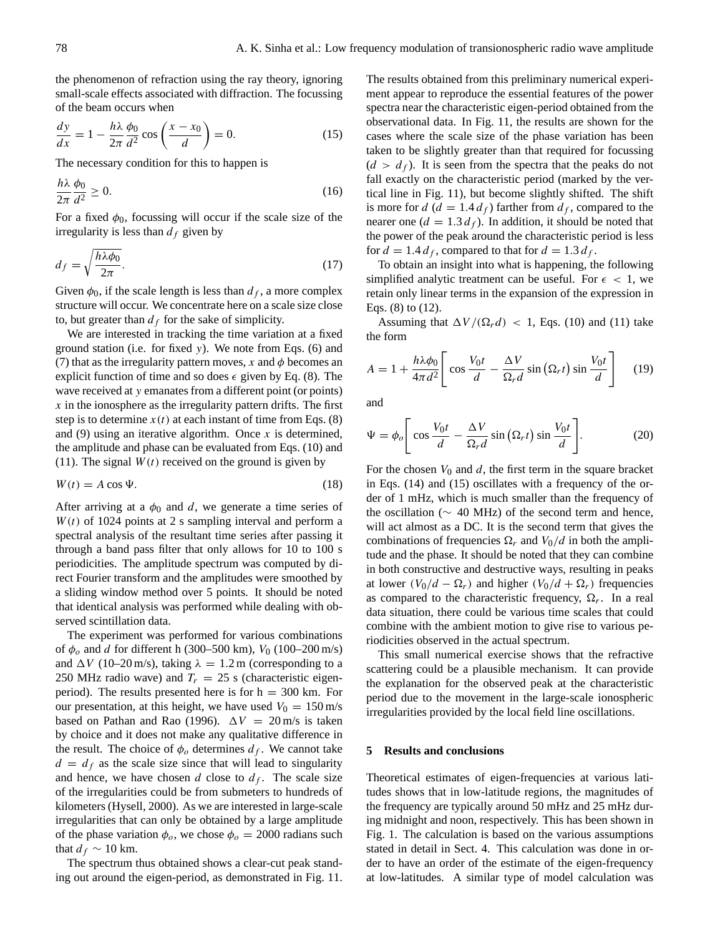the phenomenon of refraction using the ray theory, ignoring small-scale effects associated with diffraction. The focussing of the beam occurs when

$$
\frac{dy}{dx} = 1 - \frac{h\lambda}{2\pi} \frac{\phi_0}{d^2} \cos\left(\frac{x - x_0}{d}\right) = 0.
$$
 (15)

The necessary condition for this to happen is

$$
\frac{h\lambda}{2\pi}\frac{\phi_0}{d^2} \ge 0.
$$
\n(16)

For a fixed  $\phi_0$ , focussing will occur if the scale size of the irregularity is less than  $d_f$  given by

$$
d_f = \sqrt{\frac{h\lambda\phi_0}{2\pi}}.\tag{17}
$$

Given  $\phi_0$ , if the scale length is less than  $d_f$ , a more complex structure will occur. We concentrate here on a scale size close to, but greater than  $d_f$  for the sake of simplicity.

We are interested in tracking the time variation at a fixed ground station (i.e. for fixed y). We note from Eqs. (6) and (7) that as the irregularity pattern moves, x and  $\phi$  becomes an explicit function of time and so does  $\epsilon$  given by Eq. (8). The wave received at y emanates from a different point (or points)  $x$  in the ionosphere as the irregularity pattern drifts. The first step is to determine  $x(t)$  at each instant of time from Eqs. (8) and (9) using an iterative algorithm. Once  $x$  is determined, the amplitude and phase can be evaluated from Eqs. (10) and (11). The signal  $W(t)$  received on the ground is given by

$$
W(t) = A \cos \Psi.
$$
 (18)

After arriving at a  $\phi_0$  and d, we generate a time series of  $W(t)$  of 1024 points at 2 s sampling interval and perform a spectral analysis of the resultant time series after passing it through a band pass filter that only allows for 10 to 100 s periodicities. The amplitude spectrum was computed by direct Fourier transform and the amplitudes were smoothed by a sliding window method over 5 points. It should be noted that identical analysis was performed while dealing with observed scintillation data.

The experiment was performed for various combinations of  $\phi_o$  and d for different h (300–500 km),  $V_0$  (100–200 m/s) and  $\Delta V$  (10–20 m/s), taking  $\lambda = 1.2$  m (corresponding to a 250 MHz radio wave) and  $T_r = 25$  s (characteristic eigenperiod). The results presented here is for  $h = 300$  km. For our presentation, at this height, we have used  $V_0 = 150$  m/s based on Pathan and Rao (1996).  $\Delta V = 20$  m/s is taken by choice and it does not make any qualitative difference in the result. The choice of  $\phi_o$  determines  $d_f$ . We cannot take  $d = d_f$  as the scale size since that will lead to singularity and hence, we have chosen d close to  $d_f$ . The scale size of the irregularities could be from submeters to hundreds of kilometers (Hysell, 2000). As we are interested in large-scale irregularities that can only be obtained by a large amplitude of the phase variation  $\phi_o$ , we chose  $\phi_o = 2000$  radians such that  $d_f \sim 10$  km.

The spectrum thus obtained shows a clear-cut peak standing out around the eigen-period, as demonstrated in Fig. 11. The results obtained from this preliminary numerical experiment appear to reproduce the essential features of the power spectra near the characteristic eigen-period obtained from the observational data. In Fig. 11, the results are shown for the cases where the scale size of the phase variation has been taken to be slightly greater than that required for focussing  $(d > d<sub>f</sub>)$ . It is seen from the spectra that the peaks do not fall exactly on the characteristic period (marked by the vertical line in Fig. 11), but become slightly shifted. The shift is more for  $d$  ( $d = 1.4 d_f$ ) farther from  $d_f$ , compared to the nearer one  $(d = 1.3 d_f)$ . In addition, it should be noted that the power of the peak around the characteristic period is less for  $d = 1.4 d_f$ , compared to that for  $d = 1.3 d_f$ .

To obtain an insight into what is happening, the following simplified analytic treatment can be useful. For  $\epsilon$  < 1, we retain only linear terms in the expansion of the expression in Eqs. (8) to (12).

Assuming that  $\Delta V / (\Omega_r d) < 1$ , Eqs. (10) and (11) take the form

$$
A = 1 + \frac{h\lambda\phi_0}{4\pi d^2} \left[ \cos\frac{V_0t}{d} - \frac{\Delta V}{\Omega_r d} \sin\left(\Omega_r t\right) \sin\frac{V_0t}{d} \right] \tag{19}
$$

and

$$
\Psi = \phi_o \left[ \cos \frac{V_0 t}{d} - \frac{\Delta V}{\Omega_r d} \sin \left( \Omega_r t \right) \sin \frac{V_0 t}{d} \right]. \tag{20}
$$

For the chosen  $V_0$  and  $d$ , the first term in the square bracket in Eqs. (14) and (15) oscillates with a frequency of the order of 1 mHz, which is much smaller than the frequency of the oscillation ( $\sim$  40 MHz) of the second term and hence, will act almost as a DC. It is the second term that gives the combinations of frequencies  $\Omega_r$  and  $V_0/d$  in both the amplitude and the phase. It should be noted that they can combine in both constructive and destructive ways, resulting in peaks at lower  $(V_0/d - \Omega_r)$  and higher  $(V_0/d + \Omega_r)$  frequencies as compared to the characteristic frequency,  $\Omega_r$ . In a real data situation, there could be various time scales that could combine with the ambient motion to give rise to various periodicities observed in the actual spectrum.

This small numerical exercise shows that the refractive scattering could be a plausible mechanism. It can provide the explanation for the observed peak at the characteristic period due to the movement in the large-scale ionospheric irregularities provided by the local field line oscillations.

## **5 Results and conclusions**

Theoretical estimates of eigen-frequencies at various latitudes shows that in low-latitude regions, the magnitudes of the frequency are typically around 50 mHz and 25 mHz during midnight and noon, respectively. This has been shown in Fig. 1. The calculation is based on the various assumptions stated in detail in Sect. 4. This calculation was done in order to have an order of the estimate of the eigen-frequency at low-latitudes. A similar type of model calculation was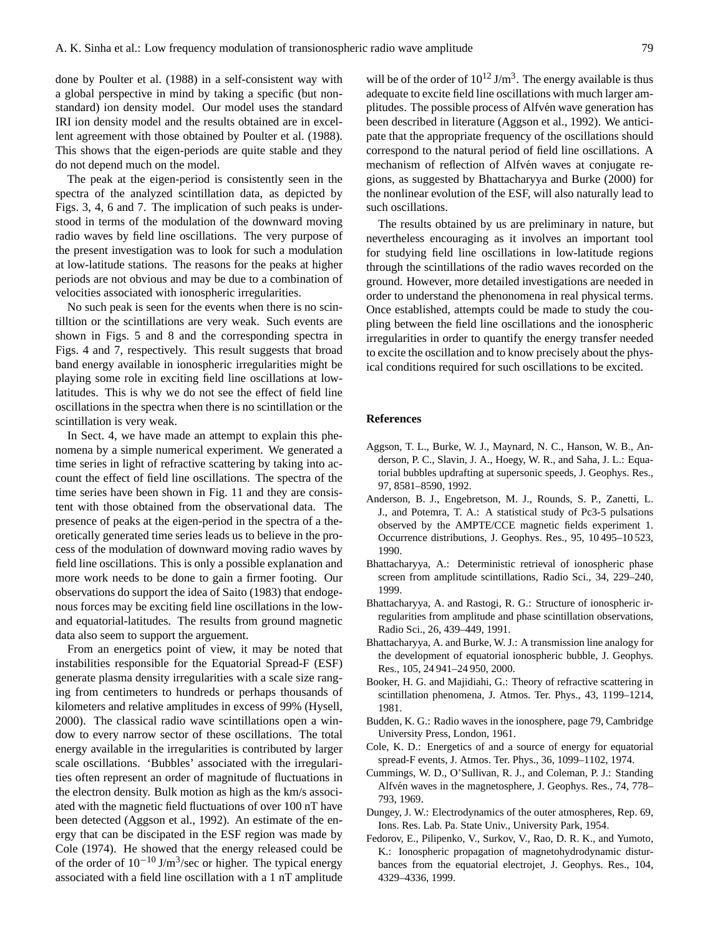done by Poulter et al. (1988) in a self-consistent way with a global perspective in mind by taking a specific (but nonstandard) ion density model. Our model uses the standard IRI ion density model and the results obtained are in excellent agreement with those obtained by Poulter et al. (1988). This shows that the eigen-periods are quite stable and they do not depend much on the model.

The peak at the eigen-period is consistently seen in the spectra of the analyzed scintillation data, as depicted by Figs. 3, 4, 6 and 7. The implication of such peaks is understood in terms of the modulation of the downward moving radio waves by field line oscillations. The very purpose of the present investigation was to look for such a modulation at low-latitude stations. The reasons for the peaks at higher periods are not obvious and may be due to a combination of velocities associated with ionospheric irregularities.

No such peak is seen for the events when there is no scintilltion or the scintillations are very weak. Such events are shown in Figs. 5 and 8 and the corresponding spectra in Figs. 4 and 7, respectively. This result suggests that broad band energy available in ionospheric irregularities might be playing some role in exciting field line oscillations at lowlatitudes. This is why we do not see the effect of field line oscillations in the spectra when there is no scintillation or the scintillation is very weak.

In Sect. 4, we have made an attempt to explain this phenomena by a simple numerical experiment. We generated a time series in light of refractive scattering by taking into account the effect of field line oscillations. The spectra of the time series have been shown in Fig. 11 and they are consistent with those obtained from the observational data. The presence of peaks at the eigen-period in the spectra of a theoretically generated time series leads us to believe in the process of the modulation of downward moving radio waves by field line oscillations. This is only a possible explanation and more work needs to be done to gain a firmer footing. Our observations do support the idea of Saito (1983) that endogenous forces may be exciting field line oscillations in the lowand equatorial-latitudes. The results from ground magnetic data also seem to support the arguement.

From an energetics point of view, it may be noted that instabilities responsible for the Equatorial Spread-F (ESF) generate plasma density irregularities with a scale size ranging from centimeters to hundreds or perhaps thousands of kilometers and relative amplitudes in excess of 99% (Hysell, 2000). The classical radio wave scintillations open a window to every narrow sector of these oscillations. The total energy available in the irregularities is contributed by larger scale oscillations. 'Bubbles' associated with the irregularities often represent an order of magnitude of fluctuations in the electron density. Bulk motion as high as the km/s associated with the magnetic field fluctuations of over 100 nT have been detected (Aggson et al., 1992). An estimate of the energy that can be discipated in the ESF region was made by Cole (1974). He showed that the energy released could be of the order of  $10^{-10}$  J/m<sup>3</sup>/sec or higher. The typical energy associated with a field line oscillation with a 1 nT amplitude

will be of the order of  $10^{12}$  J/m<sup>3</sup>. The energy available is thus adequate to excite field line oscillations with much larger amplitudes. The possible process of Alfvén wave generation has been described in literature (Aggson et al., 1992). We anticipate that the appropriate frequency of the oscillations should correspond to the natural period of field line oscillations. A mechanism of reflection of Alfvén waves at conjugate regions, as suggested by Bhattacharyya and Burke (2000) for the nonlinear evolution of the ESF, will also naturally lead to such oscillations.

The results obtained by us are preliminary in nature, but nevertheless encouraging as it involves an important tool for studying field line oscillations in low-latitude regions through the scintillations of the radio waves recorded on the ground. However, more detailed investigations are needed in order to understand the phenonomena in real physical terms. Once established, attempts could be made to study the coupling between the field line oscillations and the ionospheric irregularities in order to quantify the energy transfer needed to excite the oscillation and to know precisely about the physical conditions required for such oscillations to be excited.

#### **References**

- Aggson, T. L., Burke, W. J., Maynard, N. C., Hanson, W. B., Anderson, P. C., Slavin, J. A., Hoegy, W. R., and Saha, J. L.: Equatorial bubbles updrafting at supersonic speeds, J. Geophys. Res., 97, 8581–8590, 1992.
- Anderson, B. J., Engebretson, M. J., Rounds, S. P., Zanetti, L. J., and Potemra, T. A.: A statistical study of Pc3-5 pulsations observed by the AMPTE/CCE magnetic fields experiment 1. Occurrence distributions, J. Geophys. Res., 95, 10 495–10 523, 1990.
- Bhattacharyya, A.: Deterministic retrieval of ionospheric phase screen from amplitude scintillations, Radio Sci., 34, 229–240, 1999.
- Bhattacharyya, A. and Rastogi, R. G.: Structure of ionospheric irregularities from amplitude and phase scintillation observations, Radio Sci., 26, 439–449, 1991.
- Bhattacharyya, A. and Burke, W. J.: A transmission line analogy for the development of equatorial ionospheric bubble, J. Geophys. Res., 105, 24 941–24 950, 2000.
- Booker, H. G. and Majidiahi, G.: Theory of refractive scattering in scintillation phenomena, J. Atmos. Ter. Phys., 43, 1199–1214, 1981.
- Budden, K. G.: Radio waves in the ionosphere, page 79, Cambridge University Press, London, 1961.
- Cole, K. D.: Energetics of and a source of energy for equatorial spread-F events, J. Atmos. Ter. Phys., 36, 1099–1102, 1974.
- Cummings, W. D., O'Sullivan, R. J., and Coleman, P. J.: Standing Alfvén waves in the magnetosphere, J. Geophys. Res., 74, 778– 793, 1969.
- Dungey, J. W.: Electrodynamics of the outer atmospheres, Rep. 69, Ions. Res. Lab. Pa. State Univ., University Park, 1954.
- Fedorov, E., Pilipenko, V., Surkov, V., Rao, D. R. K., and Yumoto, K.: Ionospheric propagation of magnetohydrodynamic disturbances from the equatorial electrojet, J. Geophys. Res., 104, 4329–4336, 1999.